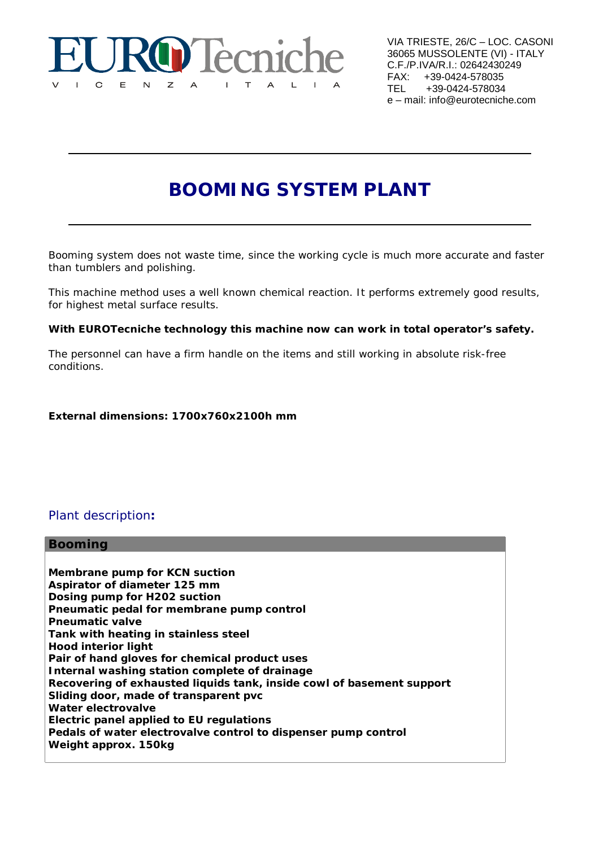

VIA TRIESTE, 26/C – LOC. CASONI 36065 MUSSOLENTE (VI) - ITALY C.F./P.IVA/R.I.: 02642430249 FAX: +39-0424-578035<br>TEL +39-0424-578034 +39-0424-578034 e – mail: info@eurotecniche.com

# **BOOMING SYSTEM PLANT**

Booming system does not waste time, since the working cycle is much more accurate and faster than tumblers and polishing.

This machine method uses a well known chemical reaction. It performs extremely good results, for highest metal surface results.

### **With EUROTecniche technology this machine now can work in total operator's safety.**

The personnel can have a firm handle on the items and still working in absolute risk-free conditions.

**External dimensions: 1700x760x2100h mm**

# Plant description**:**

### **Booming**

**Membrane pump for KCN suction Aspirator of diameter 125 mm Dosing pump for H202 suction Pneumatic pedal for membrane pump control Pneumatic valve Tank with heating in stainless steel Hood interior light Pair of hand gloves for chemical product uses Internal washing station complete of drainage Recovering of exhausted liquids tank, inside cowl of basement support Sliding door, made of transparent pvc Water electrovalve Electric panel applied to EU regulations Pedals of water electrovalve control to dispenser pump control Weight approx. 150kg**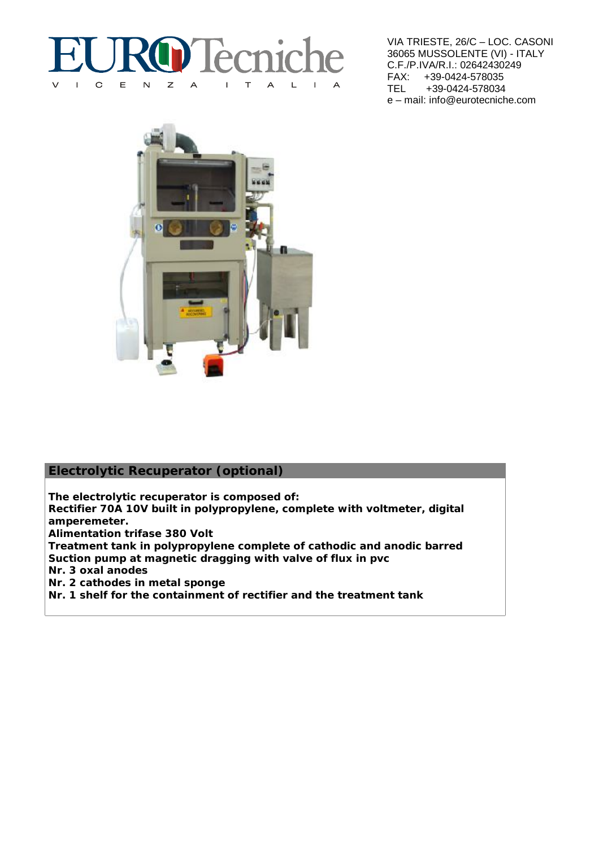#### D'Iècnic  $\overline{C}$  $\mathsf E$  $\overline{N}$  $\mathsf{z}$  $\overline{A}$  $\mathbf{L}$  $\top$  $\overline{A}$  $\mathsf{L}$  $\overline{A}$  $\mathbf{L}$

VIA TRIESTE, 26/C – LOC. CASONI 36065 MUSSOLENTE (VI) - ITALY C.F./P.IVA/R.I.: 02642430249 FAX: +39-0424-578035<br>TEL +39-0424-578034 +39-0424-578034 e – mail: info@eurotecniche.com



# **Electrolytic Recuperator (optional)**

**The electrolytic recuperator is composed of: Rectifier 70A 10V built in polypropylene, complete with voltmeter, digital**

**amperemeter. Alimentation trifase 380 Volt**

**Treatment tank in polypropylene complete of cathodic and anodic barred Suction pump at magnetic dragging with valve of flux in pvc**

**Nr. 3 oxal anodes**

**Nr. 2 cathodes in metal sponge**

**Nr. 1 shelf for the containment of rectifier and the treatment tank**